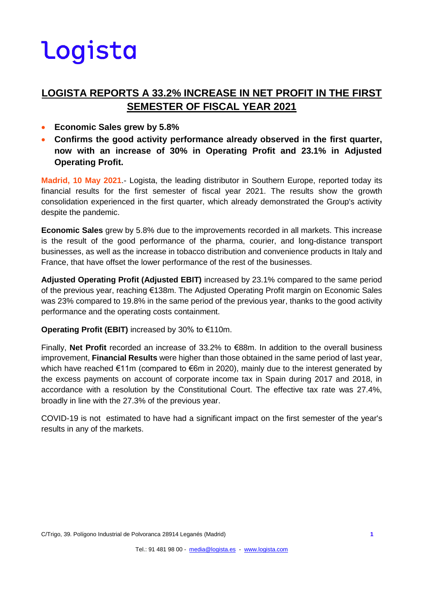### **LOGISTA REPORTS A 33.2% INCREASE IN NET PROFIT IN THE FIRST SEMESTER OF FISCAL YEAR 2021**

- **Economic Sales grew by 5.8%**
- **Confirms the good activity performance already observed in the first quarter, now with an increase of 30% in Operating Profit and 23.1% in Adjusted Operating Profit.**

**Madrid, 10 May 2021**.- Logista, the leading distributor in Southern Europe, reported today its financial results for the first semester of fiscal year 2021. The results show the growth consolidation experienced in the first quarter, which already demonstrated the Group's activity despite the pandemic.

**Economic Sales** grew by 5.8% due to the improvements recorded in all markets. This increase is the result of the good performance of the pharma, courier, and long-distance transport businesses, as well as the increase in tobacco distribution and convenience products in Italy and France, that have offset the lower performance of the rest of the businesses.

**Adjusted Operating Profit (Adjusted EBIT)** increased by 23.1% compared to the same period of the previous year, reaching €138m. The Adjusted Operating Profit margin on Economic Sales was 23% compared to 19.8% in the same period of the previous year, thanks to the good activity performance and the operating costs containment.

**Operating Profit (EBIT)** increased by 30% to €110m.

Finally, **Net Profit** recorded an increase of 33.2% to €88m. In addition to the overall business improvement, **Financial Results** were higher than those obtained in the same period of last year, which have reached €11m (compared to €6m in 2020), mainly due to the interest generated by the excess payments on account of corporate income tax in Spain during 2017 and 2018, in accordance with a resolution by the Constitutional Court. The effective tax rate was 27.4%, broadly in line with the 27.3% of the previous year.

COVID-19 is not estimated to have had a significant impact on the first semester of the year's results in any of the markets.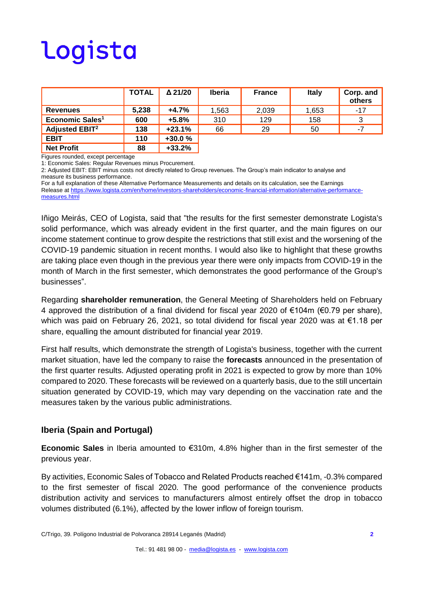|                                  | <b>TOTAL</b> | $\Delta$ 21/20 | <b>Iberia</b> | <b>France</b> | <b>Italy</b> | Corp. and<br>others |
|----------------------------------|--------------|----------------|---------------|---------------|--------------|---------------------|
| <b>Revenues</b>                  | 5.238        | $+4.7%$        | 1.563         | 2,039         | 1,653        | $-17$               |
| Economic Sales <sup>1</sup>      | 600          | $+5.8%$        | 310           | 129           | 158          | 3                   |
| <b>Adjusted EBIT<sup>2</sup></b> | 138          | $+23.1%$       | 66            | 29            | 50           | -7                  |
| <b>EBIT</b>                      | 110          | $+30.0%$       |               |               |              |                     |
| <b>Net Profit</b>                | 88           | $+33.2%$       |               |               |              |                     |

Figures rounded, except percentage

1: Economic Sales: Regular Revenues minus Procurement.

2: Adjusted EBIT: EBIT minus costs not directly related to Group revenues. The Group's main indicator to analyse and measure its business performance.

For a full explanation of these Alternative Performance Measurements and details on its calculation, see the Earnings Release at [https://www.logista.com/en/home/investors-shareholders/economic-financial-information/alternative-performance](https://www.logista.com/en/home/investors-shareholders/economic-financial-information/alternative-performance-measures.html)[measures.html](https://www.logista.com/en/home/investors-shareholders/economic-financial-information/alternative-performance-measures.html)

Iñigo Meirás, CEO of Logista, said that "the results for the first semester demonstrate Logista's solid performance, which was already evident in the first quarter, and the main figures on our income statement continue to grow despite the restrictions that still exist and the worsening of the COVID-19 pandemic situation in recent months. I would also like to highlight that these growths are taking place even though in the previous year there were only impacts from COVID-19 in the month of March in the first semester, which demonstrates the good performance of the Group's businesses".

Regarding **shareholder remuneration**, the General Meeting of Shareholders held on February 4 approved the distribution of a final dividend for fiscal year 2020 of €104m (€0.79 per share), which was paid on February 26, 2021, so total dividend for fiscal year 2020 was at €1.18 per share, equalling the amount distributed for financial year 2019.

First half results, which demonstrate the strength of Logista's business, together with the current market situation, have led the company to raise the **forecasts** announced in the presentation of the first quarter results. Adjusted operating profit in 2021 is expected to grow by more than 10% compared to 2020. These forecasts will be reviewed on a quarterly basis, due to the still uncertain situation generated by COVID-19, which may vary depending on the vaccination rate and the measures taken by the various public administrations.

#### **Iberia (Spain and Portugal)**

**Economic Sales** in Iberia amounted to €310m, 4.8% higher than in the first semester of the previous year.

By activities, Economic Sales of Tobacco and Related Products reached €141m, -0.3% compared to the first semester of fiscal 2020. The good performance of the convenience products distribution activity and services to manufacturers almost entirely offset the drop in tobacco volumes distributed (6.1%), affected by the lower inflow of foreign tourism.

C/Trigo, 39. Polígono Industrial de Polvoranca 28914 Leganés (Madrid) **2**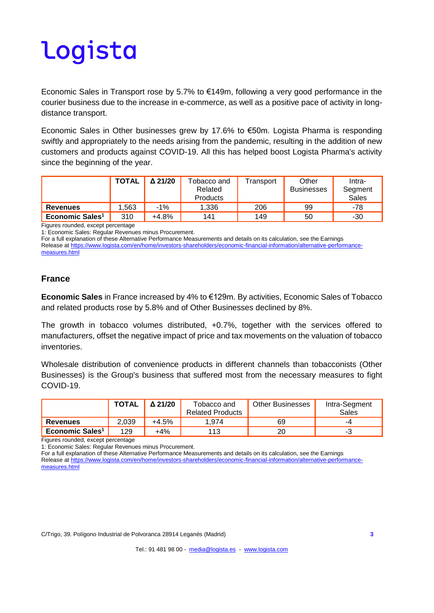Economic Sales in Transport rose by 5.7% to €149m, following a very good performance in the courier business due to the increase in e-commerce, as well as a positive pace of activity in longdistance transport.

Economic Sales in Other businesses grew by 17.6% to €50m. Logista Pharma is responding swiftly and appropriately to the needs arising from the pandemic, resulting in the addition of new customers and products against COVID-19. All this has helped boost Logista Pharma's activity since the beginning of the year.

|                             | <b>TOTAL</b> | $\Delta$ 21/20 | Tobacco and<br>Related<br>Products | Fransport | Other<br>Businesses | Intra-<br>Segment<br>Sales |
|-----------------------------|--------------|----------------|------------------------------------|-----------|---------------------|----------------------------|
| <b>Revenues</b>             | 1.563        | $-1%$          | 1.336                              | 206       | 99                  | -78                        |
| Economic Sales <sup>1</sup> | 310          | $+4.8%$        | 141                                | 149       | 50                  | -30                        |

Figures rounded, except percentage

1: Economic Sales: Regular Revenues minus Procurement.

For a full explanation of these Alternative Performance Measurements and details on its calculation, see the Earnings Release at [https://www.logista.com/en/home/investors-shareholders/economic-financial-information/alternative-performance](https://www.logista.com/en/home/investors-shareholders/economic-financial-information/alternative-performance-measures.html)[measures.html](https://www.logista.com/en/home/investors-shareholders/economic-financial-information/alternative-performance-measures.html)

#### **France**

**Economic Sales** in France increased by 4% to €129m. By activities, Economic Sales of Tobacco and related products rose by 5.8% and of Other Businesses declined by 8%.

The growth in tobacco volumes distributed, +0.7%, together with the services offered to manufacturers, offset the negative impact of price and tax movements on the valuation of tobacco inventories.

Wholesale distribution of convenience products in different channels than tobacconists (Other Businesses) is the Group's business that suffered most from the necessary measures to fight COVID-19.

|                             | <b>TOTAL</b> | $\Delta$ 21/20 | Tobacco and<br><b>Related Products</b> | <b>Other Businesses</b> | Intra-Segment<br><b>Sales</b> |
|-----------------------------|--------------|----------------|----------------------------------------|-------------------------|-------------------------------|
| <b>Revenues</b>             | 2.039        | $+4.5%$        | 1.974                                  | 69                      | -4                            |
| Economic Sales <sup>1</sup> | 129          | $+4\%$         | 113                                    |                         |                               |

Figures rounded, except percentage

1: Economic Sales: Regular Revenues minus Procurement.

For a full explanation of these Alternative Performance Measurements and details on its calculation, see the Earnings Release at [https://www.logista.com/en/home/investors-shareholders/economic-financial-information/alternative-performance](https://www.logista.com/en/home/investors-shareholders/economic-financial-information/alternative-performance-measures.html)[measures.html](https://www.logista.com/en/home/investors-shareholders/economic-financial-information/alternative-performance-measures.html)

C/Trigo, 39. Polígono Industrial de Polvoranca 28914 Leganés (Madrid) **3**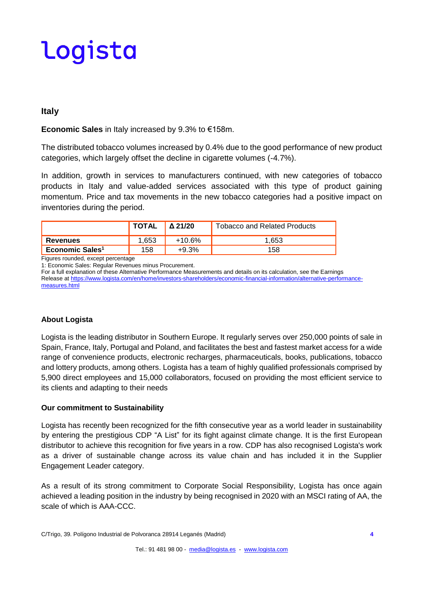#### **Italy**

**Economic Sales** in Italy increased by 9.3% to €158m.

The distributed tobacco volumes increased by 0.4% due to the good performance of new product categories, which largely offset the decline in cigarette volumes (-4.7%).

In addition, growth in services to manufacturers continued, with new categories of tobacco products in Italy and value-added services associated with this type of product gaining momentum. Price and tax movements in the new tobacco categories had a positive impact on inventories during the period.

|                             | <b>TAL</b> | Δ 21/20 | Tobacco and Related Products |
|-----------------------------|------------|---------|------------------------------|
| <b>Revenues</b>             |            |         |                              |
| Economic Sales <sup>1</sup> | 15۶        |         |                              |

Figures rounded, except percentage

1: Economic Sales: Regular Revenues minus Procurement.

For a full explanation of these Alternative Performance Measurements and details on its calculation, see the Earnings Release at [https://www.logista.com/en/home/investors-shareholders/economic-financial-information/alternative-performance](https://www.logista.com/en/home/investors-shareholders/economic-financial-information/alternative-performance-measures.html)[measures.html](https://www.logista.com/en/home/investors-shareholders/economic-financial-information/alternative-performance-measures.html)

#### **About Logista**

Logista is the leading distributor in Southern Europe. It regularly serves over 250,000 points of sale in Spain, France, Italy, Portugal and Poland, and facilitates the best and fastest market access for a wide range of convenience products, electronic recharges, pharmaceuticals, books, publications, tobacco and lottery products, among others. Logista has a team of highly qualified professionals comprised by 5,900 direct employees and 15,000 collaborators, focused on providing the most efficient service to its clients and adapting to their needs

#### **Our commitment to Sustainability**

Logista has recently been recognized for the fifth consecutive year as a world leader in sustainability by entering the prestigious CDP "A List" for its fight against climate change. It is the first European distributor to achieve this recognition for five years in a row. CDP has also recognised Logista's work as a driver of sustainable change across its value chain and has included it in the Supplier Engagement Leader category.

As a result of its strong commitment to Corporate Social Responsibility, Logista has once again achieved a leading position in the industry by being recognised in 2020 with an MSCI rating of AA, the scale of which is AAA-CCC.

C/Trigo, 39. Polígono Industrial de Polvoranca 28914 Leganés (Madrid) **4**